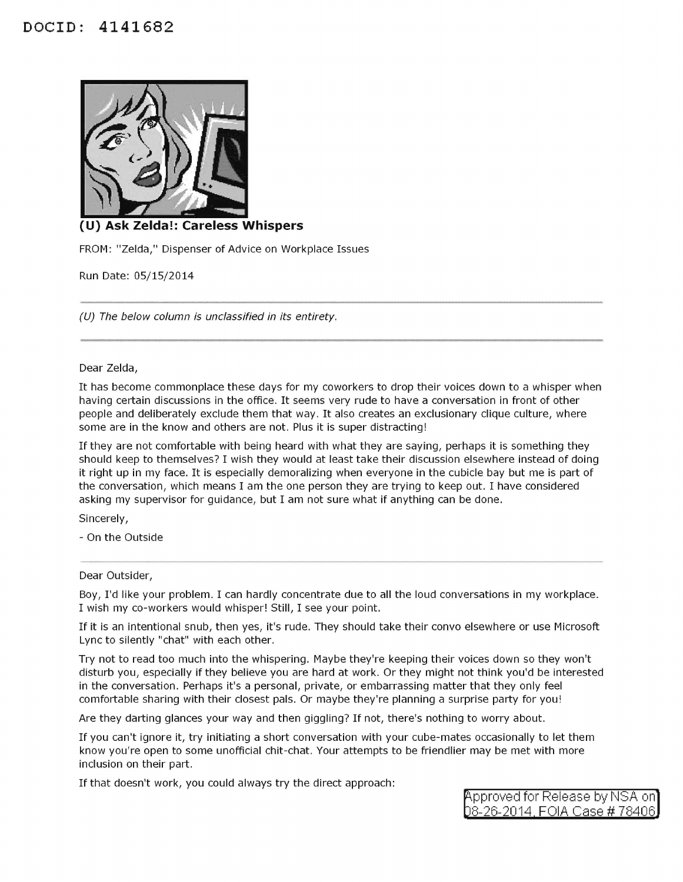## **DOCID: 4141682**



## **(U) Ask Zelda!: Careless Whispers**

FROM: "Zelda," Dispenser of Advice on Workplace Issues

Run Date: 05/15/2014

(U) The below column is unclassified in its entirety.

## Dear Zelda,

It has become commonplace these days for my coworkers to drop their voices down to a whisper when having certain discussions in the office. It seems very rude to have a conversation in front of other people and deliberately exclude them that way. It also creates an exclusionary clique culture, where some are in the know and others are not. Plus it is super distracting!

If they are not comfortable with being heard with what they are saying, perhaps it is something they should keep to themselves? I wish they would at least take their discussion elsewhere instead of doing it right up in my face. It is especially demoralizing when everyone in the cubicle bay but me is part of the conversation, which means I am the one person they are trying to keep out. I have considered asking my supervisor for guidance, but I am not sure what if anything can be done.

Sincerely,

- On the Outside

## Dear Outsider,

Boy, I'd like your problem. I can hardly concentrate due to all the loud conversations in my workplace. I wish my co-workers would whisper! Still, I see your point.

If it is an intentional snub, then yes, it's rude. They should take their convo elsewhere or use Microsoft Lyne to silently "chat" with each other.

Try not to read too much into the whispering. Maybe they're keeping their voices down so they won't disturb you, especially if they believe you are hard at work. Or they might not think you'd be interested in the conversation. Perhaps it's a personal, private, or embarrassing matter that they only feel comfortable sharing with their closest pals. Or maybe they're planning a surprise party for you!

Are they darting glances your way and then giggling? If not, there's nothing to worry about.

If you can't ignore it, try initiating a short conversation with your cube-mates occasionally to let them know you're open to some unofficial chit-chat. Your attempts to be friendlier may be met with more inclusion on their part.

If that doesn't work, you could always try the direct approach:

pproved for Release by NSA on 8-26-2014 FOIA Case# 78406